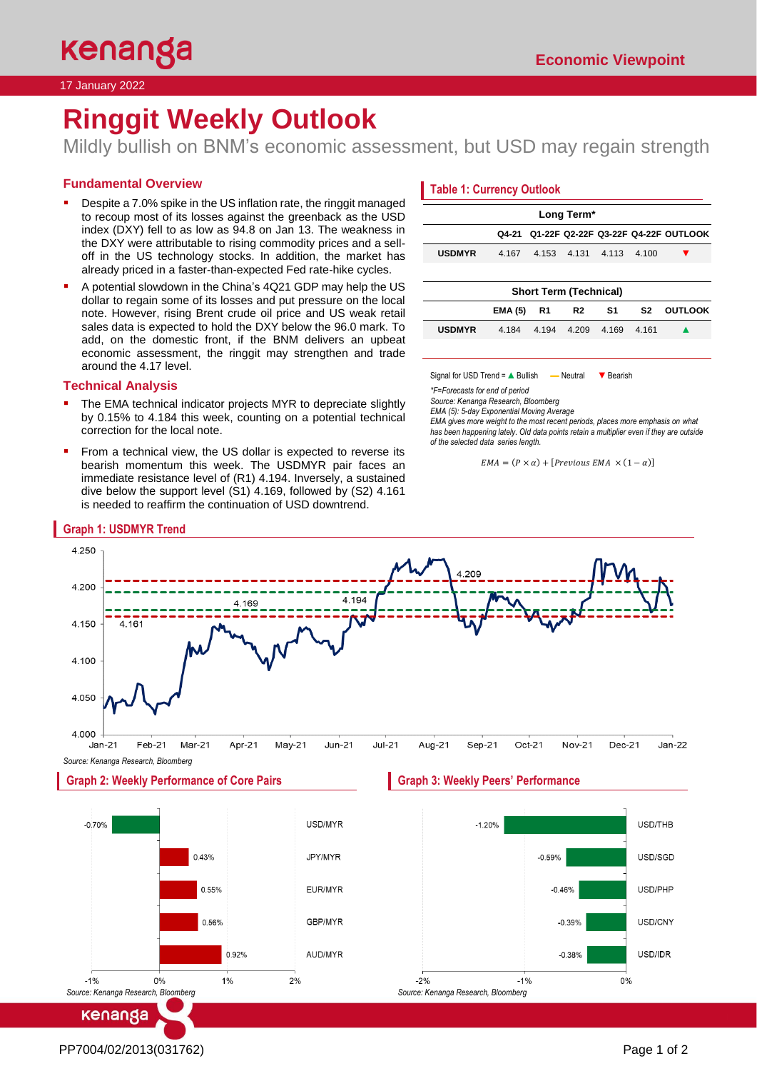17 January 2022

# **Ringgit Weekly Outlook**

Mildly bullish on BNM's economic assessment, but USD may regain strength

# **Fundamental Overview**

- Despite a 7.0% spike in the US inflation rate, the ringgit managed to recoup most of its losses against the greenback as the USD index (DXY) fell to as low as 94.8 on Jan 13. The weakness in the DXY were attributable to rising commodity prices and a selloff in the US technology stocks. In addition, the market has already priced in a faster-than-expected Fed rate-hike cycles.
- A potential slowdown in the China's 4Q21 GDP may help the US dollar to regain some of its losses and put pressure on the local note. However, rising Brent crude oil price and US weak retail sales data is expected to hold the DXY below the 96.0 mark. To add, on the domestic front, if the BNM delivers an upbeat economic assessment, the ringgit may strengthen and trade around the 4.17 level.

# **Technical Analysis**

- The EMA technical indicator projects MYR to depreciate slightly by 0.15% to 4.184 this week, counting on a potential technical correction for the local note.
- From a technical view, the US dollar is expected to reverse its bearish momentum this week. The USDMYR pair faces an immediate resistance level of (R1) 4.194. Inversely, a sustained dive below the support level (S1) 4.169, followed by (S2) 4.161 is needed to reaffirm the continuation of USD downtrend.

# **Table 1: Currency Outlook**

| Long Term*                    |                |                |                |       |                |                                     |
|-------------------------------|----------------|----------------|----------------|-------|----------------|-------------------------------------|
|                               | Q4-21          |                |                |       |                | 01-22F 02-22F 03-22F 04-22F OUTLOOK |
| <b>USDMYR</b>                 | 4.167          | 4.153          | 4.131          | 4.113 | 4.100          |                                     |
|                               |                |                |                |       |                |                                     |
| <b>Short Term (Technical)</b> |                |                |                |       |                |                                     |
|                               | <b>EMA (5)</b> | R <sub>1</sub> | R <sub>2</sub> | S1    | S <sub>2</sub> | <b>OUTLOOK</b>                      |
| <b>USDMYR</b>                 | 4.184          | 4.194          | 4.209          | 4.169 | 4.161          |                                     |
|                               |                |                |                |       |                |                                     |

Signal for USD Trend = A Bullish — Neutral ▼ Bearish

*\*F=Forecasts for end of period* 

*Source: Kenanga Research, Bloomberg*

*EMA (5): 5-day Exponential Moving Average*

*EMA gives more weight to the most recent periods, places more emphasis on what has been happening lately. Old data points retain a multiplier even if they are outside of the selected data series length.*

 $EMA = (P \times \alpha) + [Previous EMA \times (1 - \alpha)]$ 



*Source: Kenanga Research, Bloomberg*

 $-1%$  $0%$ *Source: Kenanga Research, Bloomberg*

# kenanga